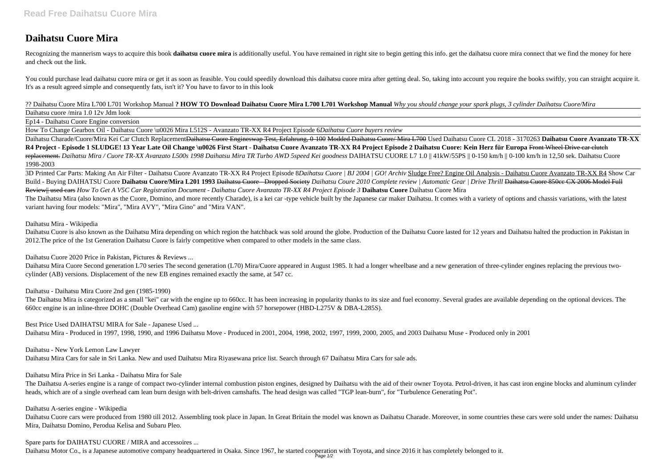# **Daihatsu Cuore Mira**

Recognizing the mannerism ways to acquire this book daihatsu cuore mira is additionally useful. You have remained in right site to begin getting this info. get the daihatsu cuore mira connect that we find the money for her and check out the link.

You could purchase lead daihatsu cuore mira or get it as soon as feasible. You could speedily download this daihatsu cuore mira after getting deal. So, taking into account you require the books swiftly, you can straight ac It's as a result agreed simple and consequently fats, isn't it? You have to favor to in this look

#### ?? Daihatsu Cuore Mira L700 L701 Workshop Manual **? HOW TO Download Daihatsu Cuore Mira L700 L701 Workshop Manual** *Why you should change your spark plugs, 3 cylinder Daihatsu Cuore/Mira*

Daihatsu cuore /mira 1.0 12v Jdm look

Ep14 - Daihatsu Cuore Engine conversion

How To Change Gearbox Oil - Daihatsu Cuore \u0026 Mira L512S - Avanzato TR-XX R4 Project Episode 6*Daihatsu Cuore buyers review*

Daihatsu Charade/Cuore/Mira Kei Car Clutch ReplacementDaihatsu Cuore Engineswap Test, Erfahrung, 0-100 Modded Daihatsu Cuore/ Mira L700 Used Daihatsu Cuore CL 2018 - 3170263 **Daihatsu Cuore Avanzato TR-XX R4 Project - Episode 1 SLUDGE! 13 Year Late Oil Change \u0026 First Start - Daihatsu Cuore Avanzato TR-XX R4 Project Episode 2 Daihatsu Cuore: Kein Herz für Europa** Front Wheel Drive car clutch replacement. *Daihatsu Mira / Cuore TR-XX Avanzato L500s 1998 Daihatsu Mira TR Turbo AWD 5speed Kei goodness* DAIHATSU CUORE L7 1.0 || 41kW/55PS || 0-150 km/h || 0-100 km/h in 12,50 sek. Daihatsu Cuore 1998-2003

Daihatsu Cuore is also known as the Daihatsu Mira depending on which region the hatchback was sold around the globe. Production of the Daihatsu Cuore lasted for 12 years and Daihatsu halted the production in Pakistan in 2012.The price of the 1st Generation Daihatsu Cuore is fairly competitive when compared to other models in the same class.

Daihatsu Mira Cuore Second generation L70 series The second generation (L70) Mira/Cuore appeared in August 1985. It had a longer wheelbase and a new generation of three-cylinder engines replacing the previous twocylinder (AB) versions. Displacement of the new EB engines remained exactly the same, at 547 cc.

The Daihatsu A-series engine is a range of compact two-cylinder internal combustion piston engines, designed by Daihatsu with the aid of their owner Toyota. Petrol-driven, it has cast iron engine blocks and aluminum cylinder heads, which are of a single overhead cam lean burn design with belt-driven camshafts. The head design was called "TGP lean-burn", for "Turbulence Generating Pot".

3D Printed Car Parts: Making An Air Filter - Daihatsu Cuore Avanzato TR-XX R4 Project Episode 8*Daihatsu Cuore | BJ 2004 | GO! Archiv* Sludge Free? Engine Oil Analysis - Daihatsu Cuore Avanzato TR-XX R4 Show Car Build - Buying DAIHATSU Cuore **Daihatsu Cuore/Mira L201 1993** Daihatsu Cuore - Dropped Society *Daihatsu Coure 2010 Complete review | Automatic Gear | Drive Thrill* Daihatsu Cuore 850cc CX 2006 Model Full Review|| used cars *How To Get A V5C Car Registration Document - Daihatsu Cuore Avanzato TR-XX R4 Project Episode 3* **Daihatsu Cuore** Daihatsu Cuore Mira The Daihatsu Mira (also known as the Cuore, Domino, and more recently Charade), is a kei car -type vehicle built by the Japanese car maker Daihatsu. It comes with a variety of options and chassis variations, with the latest variant having four models: "Mira", "Mira AVY", "Mira Gino" and "Mira VAN".

Daihatsu Cuore cars were produced from 1980 till 2012. Assembling took place in Japan. In Great Britain the model was known as Daihatsu Charade. Moreover, in some countries these cars were sold under the names: Daihatsu Mira, Daihatsu Domino, Perodua Kelisa and Subaru Pleo.

# Daihatsu Mira - Wikipedia

Daihatsu Cuore 2020 Price in Pakistan, Pictures & Reviews ...

Daihatsu - Daihatsu Mira Cuore 2nd gen (1985-1990)

The Daihatsu Mira is categorized as a small "kei" car with the engine up to 660cc. It has been increasing in popularity thanks to its size and fuel economy. Several grades are available depending on the optional devices. The 660cc engine is an inline-three DOHC (Double Overhead Cam) gasoline engine with 57 horsepower (HBD-L275V & DBA-L285S).

Best Price Used DAIHATSU MIRA for Sale - Japanese Used ...

Daihatsu Mira - Produced in 1997, 1998, 1990, and 1996 Daihatsu Move - Produced in 2001, 2004, 1998, 2002, 1997, 1999, 2000, 2005, and 2003 Daihatsu Muse - Produced only in 2001

Daihatsu - New York Lemon Law Lawyer

Daihatsu Mira Cars for sale in Sri Lanka. New and used Daihatsu Mira Riyasewana price list. Search through 67 Daihatsu Mira Cars for sale ads.

Daihatsu Mira Price in Sri Lanka - Daihatsu Mira for Sale

Daihatsu A-series engine - Wikipedia

Spare parts for DAIHATSU CUORE / MIRA and accessoires ...

Daihatsu Motor Co., is a Japanese automotive company headquartered in Osaka. Since 1967, he started cooperation with Toyota, and since 2016 it has completely belonged to it. Page 1/2